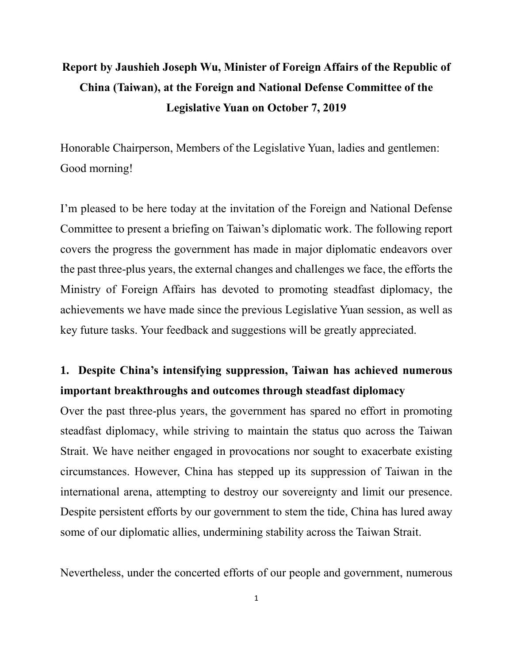# **Report by Jaushieh Joseph Wu, Minister of Foreign Affairs of the Republic of China (Taiwan), at the Foreign and National Defense Committee of the Legislative Yuan on October 7, 2019**

Honorable Chairperson, Members of the Legislative Yuan, ladies and gentlemen: Good morning!

I'm pleased to be here today at the invitation of the Foreign and National Defense Committee to present a briefing on Taiwan's diplomatic work. The following report covers the progress the government has made in major diplomatic endeavors over the past three-plus years, the external changes and challenges we face, the efforts the Ministry of Foreign Affairs has devoted to promoting steadfast diplomacy, the achievements we have made since the previous Legislative Yuan session, as well as key future tasks. Your feedback and suggestions will be greatly appreciated.

## **1. Despite China's intensifying suppression, Taiwan has achieved numerous important breakthroughs and outcomes through steadfast diplomacy**

Over the past three-plus years, the government has spared no effort in promoting steadfast diplomacy, while striving to maintain the status quo across the Taiwan Strait. We have neither engaged in provocations nor sought to exacerbate existing circumstances. However, China has stepped up its suppression of Taiwan in the international arena, attempting to destroy our sovereignty and limit our presence. Despite persistent efforts by our government to stem the tide, China has lured away some of our diplomatic allies, undermining stability across the Taiwan Strait.

Nevertheless, under the concerted efforts of our people and government, numerous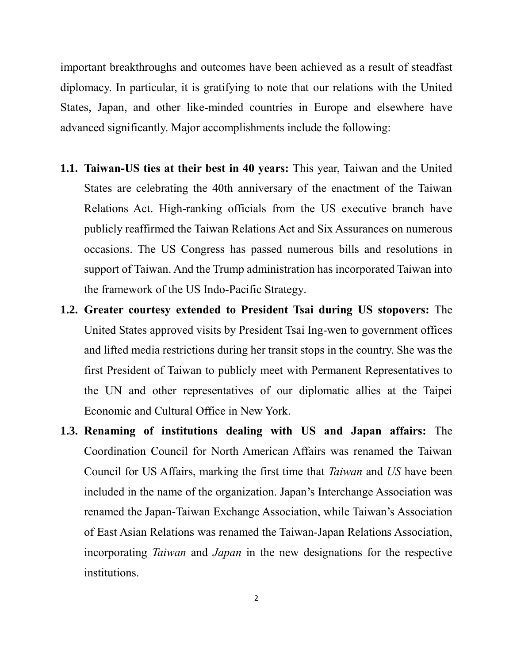important breakthroughs and outcomes have been achieved as a result of steadfast diplomacy. In particular, it is gratifying to note that our relations with the United States, Japan, and other like-minded countries in Europe and elsewhere have advanced significantly. Major accomplishments include the following:

- **1.1. Taiwan-US ties at their best in 40 years:** This year, Taiwan and the United States are celebrating the 40th anniversary of the enactment of the Taiwan Relations Act. High-ranking officials from the US executive branch have publicly reaffirmed the Taiwan Relations Act and Six Assurances on numerous occasions. The US Congress has passed numerous bills and resolutions in support of Taiwan. And the Trump administration has incorporated Taiwan into the framework of the US Indo-Pacific Strategy.
- **1.2. Greater courtesy extended to President Tsai during US stopovers:** The United States approved visits by President Tsai Ing-wen to government offices and lifted media restrictions during her transit stops in the country. She was the first President of Taiwan to publicly meet with Permanent Representatives to the UN and other representatives of our diplomatic allies at the Taipei Economic and Cultural Office in New York.
- **1.3. Renaming of institutions dealing with US and Japan affairs:** The Coordination Council for North American Affairs was renamed the Taiwan Council for US Affairs, marking the first time that *Taiwan* and *US* have been included in the name of the organization. Japan's Interchange Association was renamed the Japan-Taiwan Exchange Association, while Taiwan's Association of East Asian Relations was renamed the Taiwan-Japan Relations Association, incorporating *Taiwan* and *Japan* in the new designations for the respective institutions.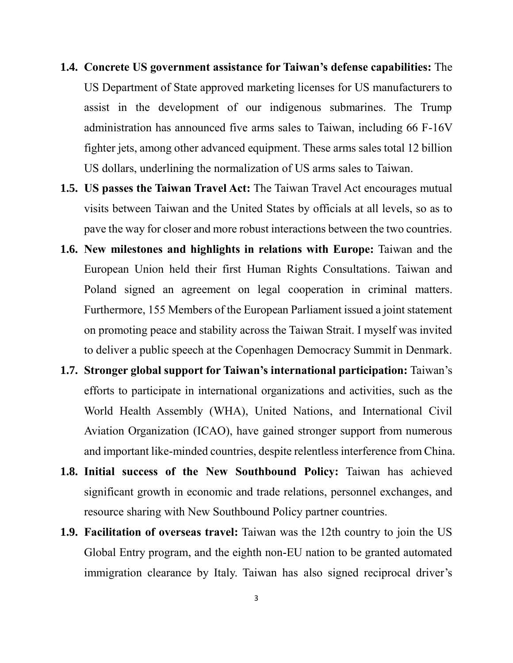- **1.4. Concrete US government assistance for Taiwan's defense capabilities:** The US Department of State approved marketing licenses for US manufacturers to assist in the development of our indigenous submarines. The Trump administration has announced five arms sales to Taiwan, including 66 F-16V fighter jets, among other advanced equipment. These arms sales total 12 billion US dollars, underlining the normalization of US arms sales to Taiwan.
- **1.5. US passes the Taiwan Travel Act:** The Taiwan Travel Act encourages mutual visits between Taiwan and the United States by officials at all levels, so as to pave the way for closer and more robust interactions between the two countries.
- **1.6. New milestones and highlights in relations with Europe:** Taiwan and the European Union held their first Human Rights Consultations. Taiwan and Poland signed an agreement on legal cooperation in criminal matters. Furthermore, 155 Members of the European Parliament issued a joint statement on promoting peace and stability across the Taiwan Strait. I myself was invited to deliver a public speech at the Copenhagen Democracy Summit in Denmark.
- **1.7. Stronger global support for Taiwan's international participation:** Taiwan's efforts to participate in international organizations and activities, such as the World Health Assembly (WHA), United Nations, and International Civil Aviation Organization (ICAO), have gained stronger support from numerous and important like-minded countries, despite relentless interference from China.
- **1.8. Initial success of the New Southbound Policy:** Taiwan has achieved significant growth in economic and trade relations, personnel exchanges, and resource sharing with New Southbound Policy partner countries.
- **1.9. Facilitation of overseas travel:** Taiwan was the 12th country to join the US Global Entry program, and the eighth non-EU nation to be granted automated immigration clearance by Italy. Taiwan has also signed reciprocal driver's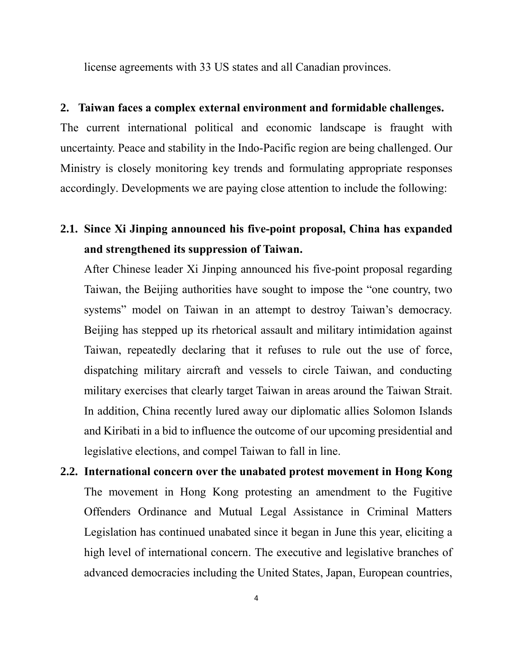license agreements with 33 US states and all Canadian provinces.

#### **2. Taiwan faces a complex external environment and formidable challenges.**

The current international political and economic landscape is fraught with uncertainty. Peace and stability in the Indo-Pacific region are being challenged. Our Ministry is closely monitoring key trends and formulating appropriate responses accordingly. Developments we are paying close attention to include the following:

## **2.1. Since Xi Jinping announced his five-point proposal, China has expanded and strengthened its suppression of Taiwan.**

After Chinese leader Xi Jinping announced his five-point proposal regarding Taiwan, the Beijing authorities have sought to impose the "one country, two systems" model on Taiwan in an attempt to destroy Taiwan's democracy. Beijing has stepped up its rhetorical assault and military intimidation against Taiwan, repeatedly declaring that it refuses to rule out the use of force, dispatching military aircraft and vessels to circle Taiwan, and conducting military exercises that clearly target Taiwan in areas around the Taiwan Strait. In addition, China recently lured away our diplomatic allies Solomon Islands and Kiribati in a bid to influence the outcome of our upcoming presidential and legislative elections, and compel Taiwan to fall in line.

**2.2. International concern over the unabated protest movement in Hong Kong** The movement in Hong Kong protesting an amendment to the Fugitive Offenders Ordinance and Mutual Legal Assistance in Criminal Matters Legislation has continued unabated since it began in June this year, eliciting a high level of international concern. The executive and legislative branches of advanced democracies including the United States, Japan, European countries,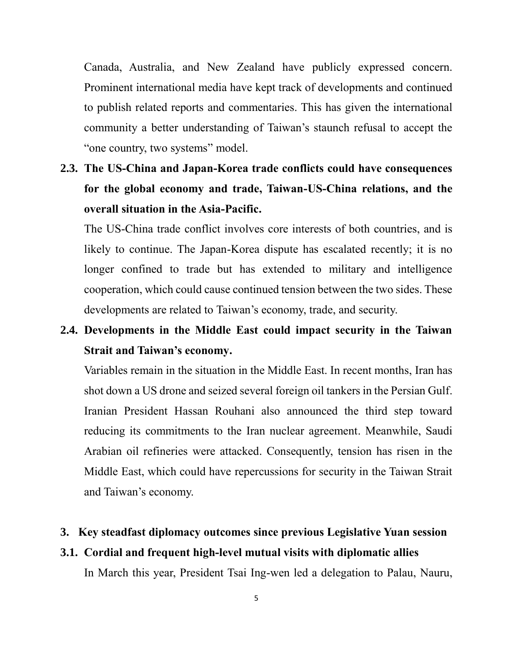Canada, Australia, and New Zealand have publicly expressed concern. Prominent international media have kept track of developments and continued to publish related reports and commentaries. This has given the international community a better understanding of Taiwan's staunch refusal to accept the "one country, two systems" model.

**2.3. The US-China and Japan-Korea trade conflicts could have consequences for the global economy and trade, Taiwan-US-China relations, and the overall situation in the Asia-Pacific.**

The US-China trade conflict involves core interests of both countries, and is likely to continue. The Japan-Korea dispute has escalated recently; it is no longer confined to trade but has extended to military and intelligence cooperation, which could cause continued tension between the two sides. These developments are related to Taiwan's economy, trade, and security.

## **2.4. Developments in the Middle East could impact security in the Taiwan Strait and Taiwan's economy.**

Variables remain in the situation in the Middle East. In recent months, Iran has shot down a US drone and seized several foreign oil tankers in the Persian Gulf. Iranian President Hassan Rouhani also announced the third step toward reducing its commitments to the Iran nuclear agreement. Meanwhile, Saudi Arabian oil refineries were attacked. Consequently, tension has risen in the Middle East, which could have repercussions for security in the Taiwan Strait and Taiwan's economy.

## **3. Key steadfast diplomacy outcomes since previous Legislative Yuan session**

## **3.1. Cordial and frequent high-level mutual visits with diplomatic allies**

In March this year, President Tsai Ing-wen led a delegation to Palau, Nauru,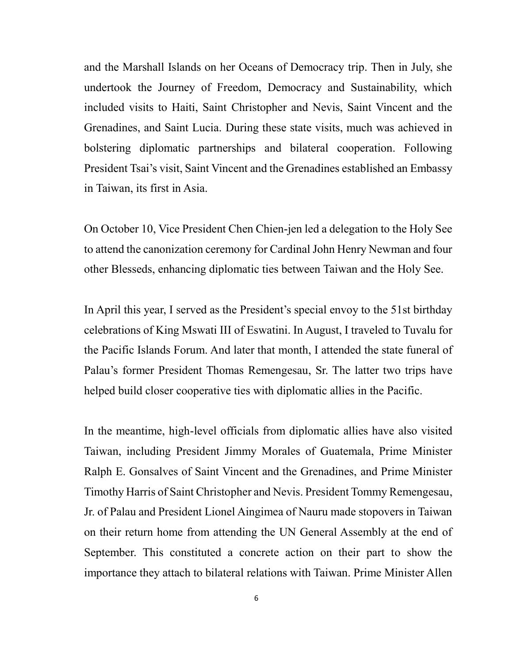and the Marshall Islands on her Oceans of Democracy trip. Then in July, she undertook the Journey of Freedom, Democracy and Sustainability, which included visits to Haiti, Saint Christopher and Nevis, Saint Vincent and the Grenadines, and Saint Lucia. During these state visits, much was achieved in bolstering diplomatic partnerships and bilateral cooperation. Following President Tsai's visit, Saint Vincent and the Grenadines established an Embassy in Taiwan, its first in Asia.

On October 10, Vice President Chen Chien-jen led a delegation to the Holy See to attend the canonization ceremony for Cardinal John Henry Newman and four other Blesseds, enhancing diplomatic ties between Taiwan and the Holy See.

In April this year, I served as the President's special envoy to the 51st birthday celebrations of King Mswati III of Eswatini. In August, I traveled to Tuvalu for the Pacific Islands Forum. And later that month, I attended the state funeral of Palau's former President Thomas Remengesau, Sr. The latter two trips have helped build closer cooperative ties with diplomatic allies in the Pacific.

In the meantime, high-level officials from diplomatic allies have also visited Taiwan, including President Jimmy Morales of Guatemala, Prime Minister Ralph E. Gonsalves of Saint Vincent and the Grenadines, and Prime Minister Timothy Harris of Saint Christopher and Nevis. President Tommy Remengesau, Jr. of Palau and President Lionel Aingimea of Nauru made stopovers in Taiwan on their return home from attending the UN General Assembly at the end of September. This constituted a concrete action on their part to show the importance they attach to bilateral relations with Taiwan. Prime Minister Allen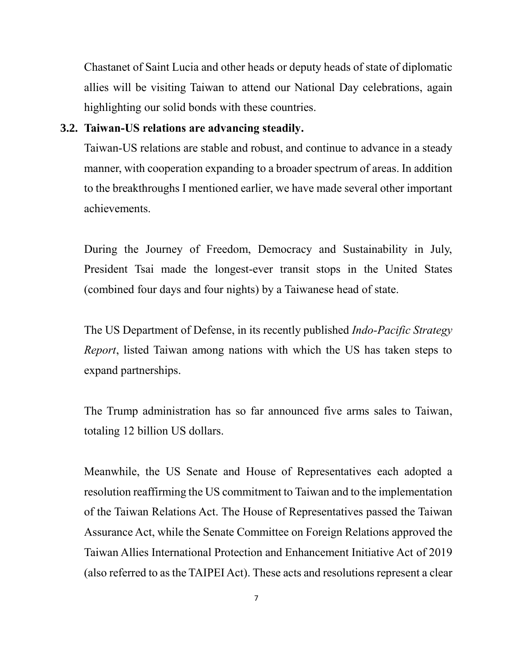Chastanet of Saint Lucia and other heads or deputy heads of state of diplomatic allies will be visiting Taiwan to attend our National Day celebrations, again highlighting our solid bonds with these countries.

#### **3.2. Taiwan-US relations are advancing steadily.**

Taiwan-US relations are stable and robust, and continue to advance in a steady manner, with cooperation expanding to a broader spectrum of areas. In addition to the breakthroughs I mentioned earlier, we have made several other important achievements.

During the Journey of Freedom, Democracy and Sustainability in July, President Tsai made the longest-ever transit stops in the United States (combined four days and four nights) by a Taiwanese head of state.

The US Department of Defense, in its recently published *Indo-Pacific Strategy Report*, listed Taiwan among nations with which the US has taken steps to expand partnerships.

The Trump administration has so far announced five arms sales to Taiwan, totaling 12 billion US dollars.

Meanwhile, the US Senate and House of Representatives each adopted a resolution reaffirming the US commitment to Taiwan and to the implementation of the Taiwan Relations Act. The House of Representatives passed the Taiwan Assurance Act, while the Senate Committee on Foreign Relations approved the Taiwan Allies International Protection and Enhancement Initiative Act of 2019 (also referred to as the TAIPEI Act). These acts and resolutions represent a clear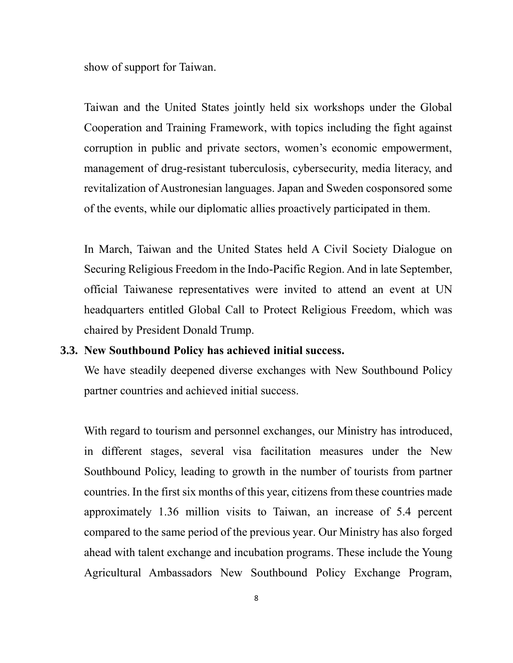show of support for Taiwan.

Taiwan and the United States jointly held six workshops under the Global Cooperation and Training Framework, with topics including the fight against corruption in public and private sectors, women's economic empowerment, management of drug-resistant tuberculosis, cybersecurity, media literacy, and revitalization of Austronesian languages. Japan and Sweden cosponsored some of the events, while our diplomatic allies proactively participated in them.

In March, Taiwan and the United States held A Civil Society Dialogue on Securing Religious Freedom in the Indo-Pacific Region. And in late September, official Taiwanese representatives were invited to attend an event at UN headquarters entitled Global Call to Protect Religious Freedom, which was chaired by President Donald Trump.

### **3.3. New Southbound Policy has achieved initial success.**

We have steadily deepened diverse exchanges with New Southbound Policy partner countries and achieved initial success.

With regard to tourism and personnel exchanges, our Ministry has introduced, in different stages, several visa facilitation measures under the New Southbound Policy, leading to growth in the number of tourists from partner countries. In the first six months of this year, citizens from these countries made approximately 1.36 million visits to Taiwan, an increase of 5.4 percent compared to the same period of the previous year. Our Ministry has also forged ahead with talent exchange and incubation programs. These include the Young Agricultural Ambassadors New Southbound Policy Exchange Program,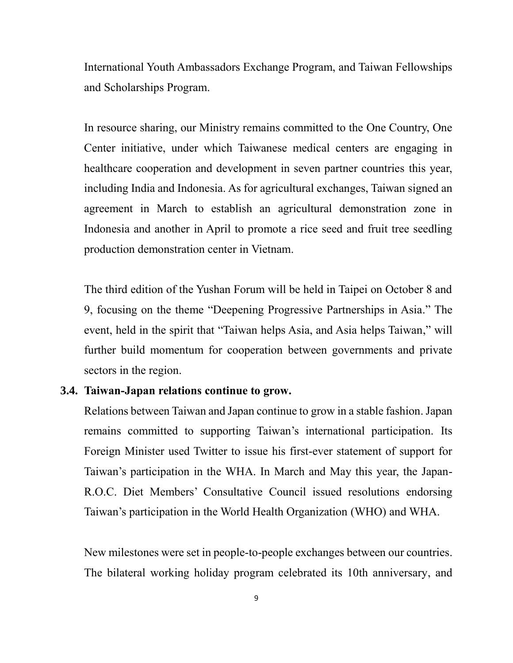International Youth Ambassadors Exchange Program, and Taiwan Fellowships and Scholarships Program.

In resource sharing, our Ministry remains committed to the One Country, One Center initiative, under which Taiwanese medical centers are engaging in healthcare cooperation and development in seven partner countries this year, including India and Indonesia. As for agricultural exchanges, Taiwan signed an agreement in March to establish an agricultural demonstration zone in Indonesia and another in April to promote a rice seed and fruit tree seedling production demonstration center in Vietnam.

The third edition of the Yushan Forum will be held in Taipei on October 8 and 9, focusing on the theme "Deepening Progressive Partnerships in Asia." The event, held in the spirit that "Taiwan helps Asia, and Asia helps Taiwan," will further build momentum for cooperation between governments and private sectors in the region.

#### **3.4. Taiwan-Japan relations continue to grow.**

Relations between Taiwan and Japan continue to grow in a stable fashion. Japan remains committed to supporting Taiwan's international participation. Its Foreign Minister used Twitter to issue his first-ever statement of support for Taiwan's participation in the WHA. In March and May this year, the Japan-R.O.C. Diet Members' Consultative Council issued resolutions endorsing Taiwan's participation in the World Health Organization (WHO) and WHA.

New milestones were set in people-to-people exchanges between our countries. The bilateral working holiday program celebrated its 10th anniversary, and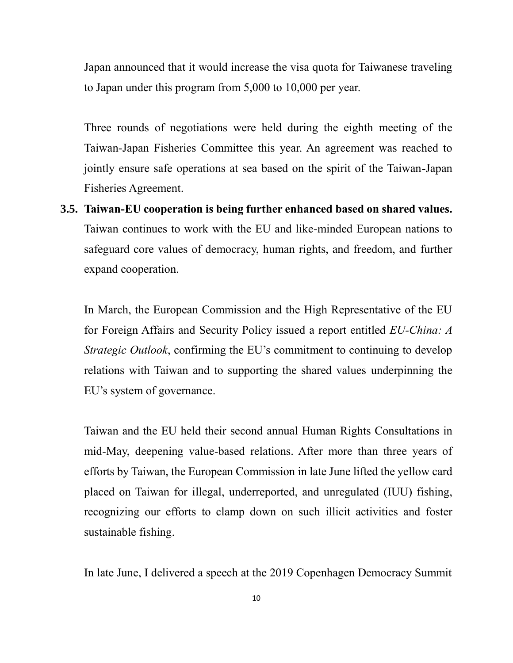Japan announced that it would increase the visa quota for Taiwanese traveling to Japan under this program from 5,000 to 10,000 per year.

Three rounds of negotiations were held during the eighth meeting of the Taiwan-Japan Fisheries Committee this year. An agreement was reached to jointly ensure safe operations at sea based on the spirit of the Taiwan-Japan Fisheries Agreement.

**3.5. Taiwan-EU cooperation is being further enhanced based on shared values.** Taiwan continues to work with the EU and like-minded European nations to safeguard core values of democracy, human rights, and freedom, and further expand cooperation.

In March, the European Commission and the High Representative of the EU for Foreign Affairs and Security Policy issued a report entitled *EU-China: A Strategic Outlook*, confirming the EU's commitment to continuing to develop relations with Taiwan and to supporting the shared values underpinning the EU's system of governance.

Taiwan and the EU held their second annual Human Rights Consultations in mid-May, deepening value-based relations. After more than three years of efforts by Taiwan, the European Commission in late June lifted the yellow card placed on Taiwan for illegal, underreported, and unregulated (IUU) fishing, recognizing our efforts to clamp down on such illicit activities and foster sustainable fishing.

In late June, I delivered a speech at the 2019 Copenhagen Democracy Summit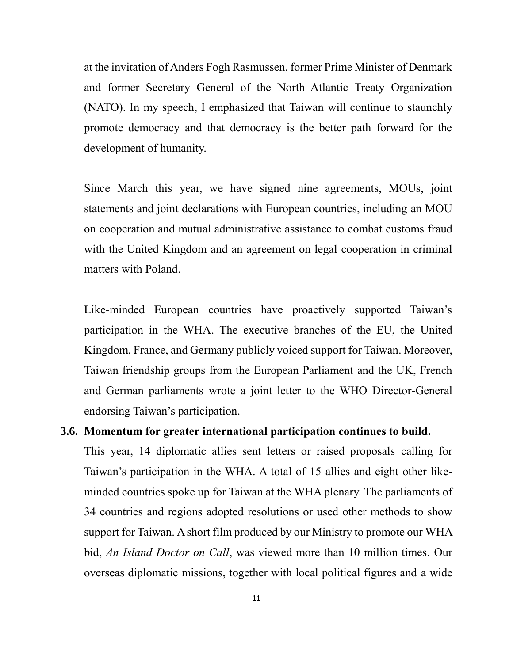at the invitation of Anders Fogh Rasmussen, former Prime Minister of Denmark and former Secretary General of the North Atlantic Treaty Organization (NATO). In my speech, I emphasized that Taiwan will continue to staunchly promote democracy and that democracy is the better path forward for the development of humanity.

Since March this year, we have signed nine agreements, MOUs, joint statements and joint declarations with European countries, including an MOU on cooperation and mutual administrative assistance to combat customs fraud with the United Kingdom and an agreement on legal cooperation in criminal matters with Poland.

Like-minded European countries have proactively supported Taiwan's participation in the WHA. The executive branches of the EU, the United Kingdom, France, and Germany publicly voiced support for Taiwan. Moreover, Taiwan friendship groups from the European Parliament and the UK, French and German parliaments wrote a joint letter to the WHO Director-General endorsing Taiwan's participation.

## **3.6. Momentum for greater international participation continues to build.**

This year, 14 diplomatic allies sent letters or raised proposals calling for Taiwan's participation in the WHA. A total of 15 allies and eight other likeminded countries spoke up for Taiwan at the WHA plenary. The parliaments of 34 countries and regions adopted resolutions or used other methods to show support for Taiwan. A short film produced by our Ministry to promote our WHA bid, *An Island Doctor on Call*, was viewed more than 10 million times. Our overseas diplomatic missions, together with local political figures and a wide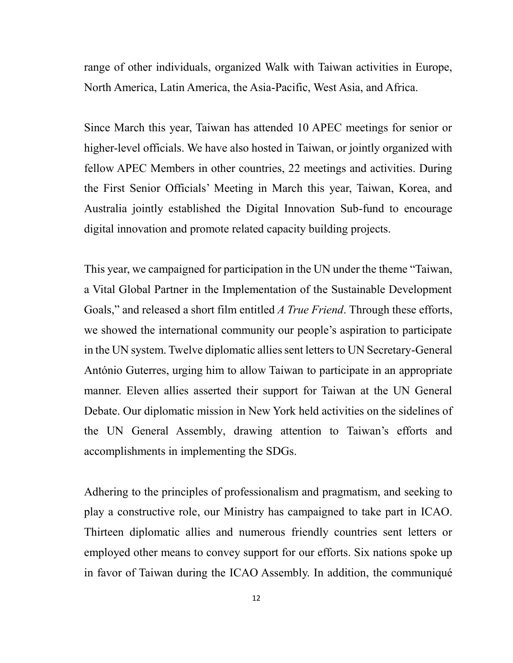range of other individuals, organized Walk with Taiwan activities in Europe, North America, Latin America, the Asia-Pacific, West Asia, and Africa.

Since March this year, Taiwan has attended 10 APEC meetings for senior or higher-level officials. We have also hosted in Taiwan, or jointly organized with fellow APEC Members in other countries, 22 meetings and activities. During the First Senior Officials' Meeting in March this year, Taiwan, Korea, and Australia jointly established the Digital Innovation Sub-fund to encourage digital innovation and promote related capacity building projects.

This year, we campaigned for participation in the UN under the theme "Taiwan, a Vital Global Partner in the Implementation of the Sustainable Development Goals," and released a short film entitled *A True Friend*. Through these efforts, we showed the international community our people's aspiration to participate in the UN system. Twelve diplomatic allies sent letters to UN Secretary-General António Guterres, urging him to allow Taiwan to participate in an appropriate manner. Eleven allies asserted their support for Taiwan at the UN General Debate. Our diplomatic mission in New York held activities on the sidelines of the UN General Assembly, drawing attention to Taiwan's efforts and accomplishments in implementing the SDGs.

Adhering to the principles of professionalism and pragmatism, and seeking to play a constructive role, our Ministry has campaigned to take part in ICAO. Thirteen diplomatic allies and numerous friendly countries sent letters or employed other means to convey support for our efforts. Six nations spoke up in favor of Taiwan during the ICAO Assembly. In addition, the communiqué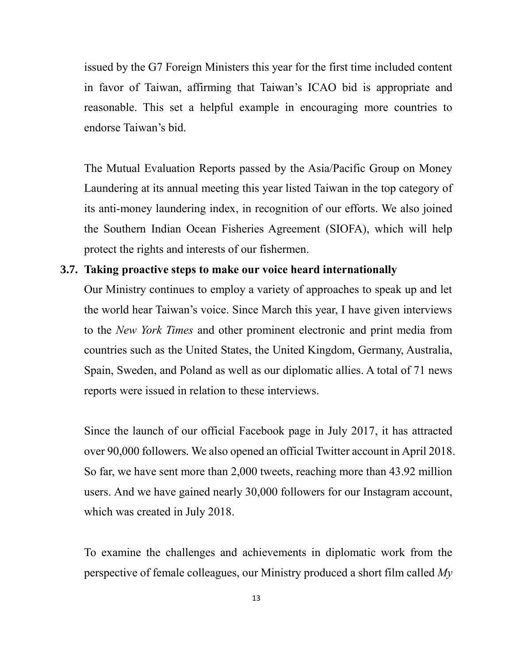issued by the G7 Foreign Ministers this year for the first time included content in favor of Taiwan, affirming that Taiwan's ICAO bid is appropriate and reasonable. This set a helpful example in encouraging more countries to endorse Taiwan's bid.

The Mutual Evaluation Reports passed by the Asia/Pacific Group on Money Laundering at its annual meeting this year listed Taiwan in the top category of its anti-money laundering index, in recognition of our efforts. We also joined the Southern Indian Ocean Fisheries Agreement (SIOFA), which will help protect the rights and interests of our fishermen.

#### **3.7. Taking proactive steps to make our voice heard internationally**

Our Ministry continues to employ a variety of approaches to speak up and let the world hear Taiwan's voice. Since March this year, I have given interviews to the *New York Times* and other prominent electronic and print media from countries such as the United States, the United Kingdom, Germany, Australia, Spain, Sweden, and Poland as well as our diplomatic allies. A total of 71 news reports were issued in relation to these interviews.

Since the launch of our official Facebook page in July 2017, it has attracted over 90,000 followers. We also opened an official Twitter account in April 2018. So far, we have sent more than 2,000 tweets, reaching more than 43.92 million users. And we have gained nearly 30,000 followers for our Instagram account, which was created in July 2018.

To examine the challenges and achievements in diplomatic work from the perspective of female colleagues, our Ministry produced a short film called *My*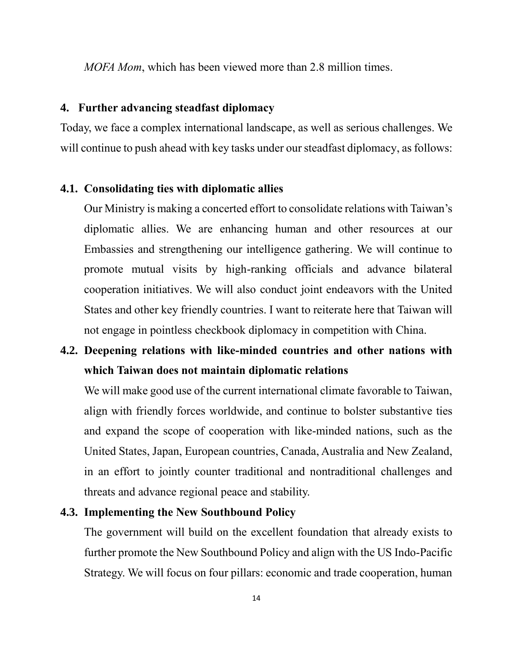*MOFA Mom*, which has been viewed more than 2.8 million times.

## **4. Further advancing steadfast diplomacy**

Today, we face a complex international landscape, as well as serious challenges. We will continue to push ahead with key tasks under our steadfast diplomacy, as follows:

#### **4.1. Consolidating ties with diplomatic allies**

Our Ministry is making a concerted effort to consolidate relations with Taiwan's diplomatic allies. We are enhancing human and other resources at our Embassies and strengthening our intelligence gathering. We will continue to promote mutual visits by high-ranking officials and advance bilateral cooperation initiatives. We will also conduct joint endeavors with the United States and other key friendly countries. I want to reiterate here that Taiwan will not engage in pointless checkbook diplomacy in competition with China.

## **4.2. Deepening relations with like-minded countries and other nations with which Taiwan does not maintain diplomatic relations**

We will make good use of the current international climate favorable to Taiwan, align with friendly forces worldwide, and continue to bolster substantive ties and expand the scope of cooperation with like-minded nations, such as the United States, Japan, European countries, Canada, Australia and New Zealand, in an effort to jointly counter traditional and nontraditional challenges and threats and advance regional peace and stability.

### **4.3. Implementing the New Southbound Policy**

The government will build on the excellent foundation that already exists to further promote the New Southbound Policy and align with the US Indo-Pacific Strategy. We will focus on four pillars: economic and trade cooperation, human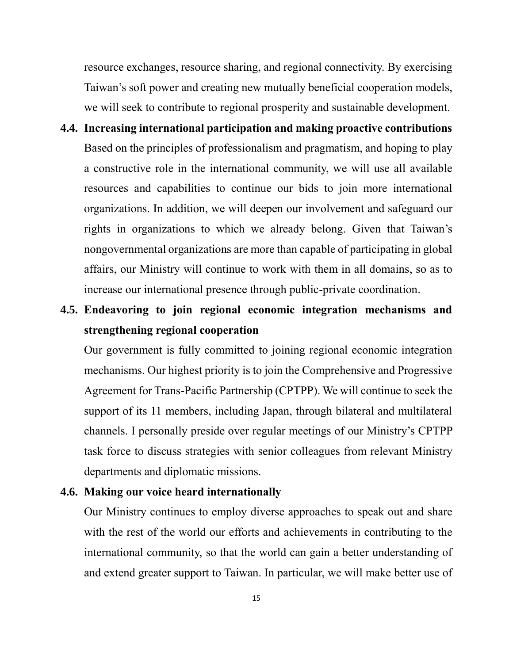resource exchanges, resource sharing, and regional connectivity. By exercising Taiwan's soft power and creating new mutually beneficial cooperation models, we will seek to contribute to regional prosperity and sustainable development.

- **4.4. Increasing international participation and making proactive contributions** Based on the principles of professionalism and pragmatism, and hoping to play a constructive role in the international community, we will use all available resources and capabilities to continue our bids to join more international organizations. In addition, we will deepen our involvement and safeguard our rights in organizations to which we already belong. Given that Taiwan's nongovernmental organizations are more than capable of participating in global affairs, our Ministry will continue to work with them in all domains, so as to increase our international presence through public-private coordination.
- **4.5. Endeavoring to join regional economic integration mechanisms and strengthening regional cooperation**

Our government is fully committed to joining regional economic integration mechanisms. Our highest priority is to join the Comprehensive and Progressive Agreement for Trans-Pacific Partnership (CPTPP). We will continue to seek the support of its 11 members, including Japan, through bilateral and multilateral channels. I personally preside over regular meetings of our Ministry's CPTPP task force to discuss strategies with senior colleagues from relevant Ministry departments and diplomatic missions.

#### **4.6. Making our voice heard internationally**

Our Ministry continues to employ diverse approaches to speak out and share with the rest of the world our efforts and achievements in contributing to the international community, so that the world can gain a better understanding of and extend greater support to Taiwan. In particular, we will make better use of